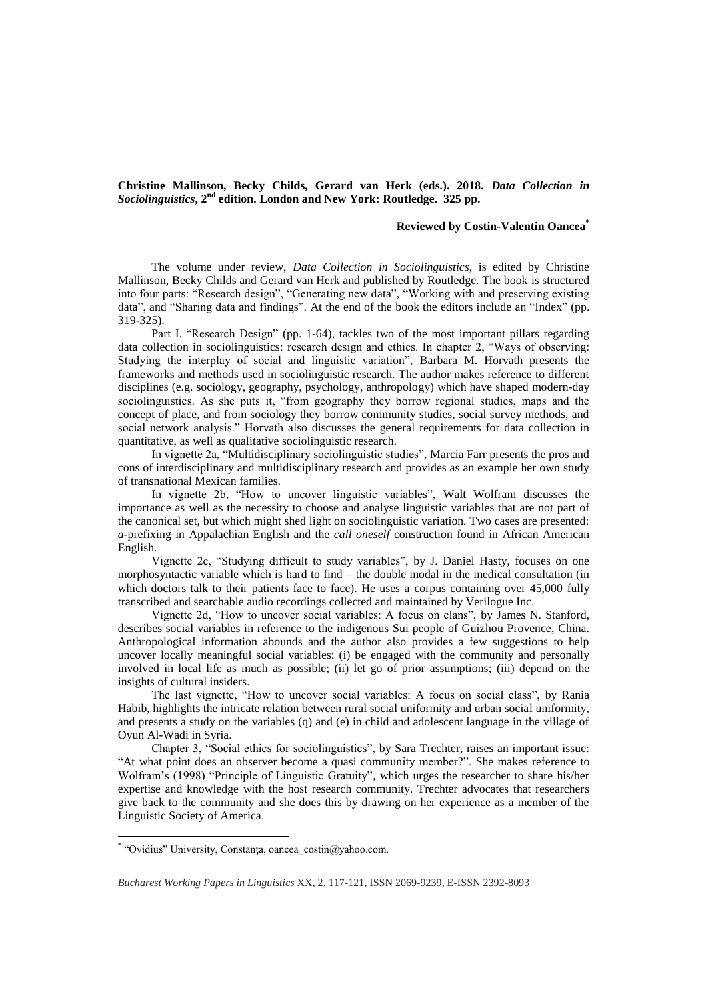**Christine Mallinson, Becky Childs, Gerard van Herk (eds.). 2018.** *Data Collection in Sociolinguistics***, 2nd edition. London and New York: Routledge. 325 pp.** 

## **Reviewed by Costin-Valentin Oancea\***

The volume under review, *Data Collection in Sociolinguistics*, is edited by Christine Mallinson, Becky Childs and Gerard van Herk and published by Routledge. The book is structured into four parts: "Research design", "Generating new data", "Working with and preserving existing data", and "Sharing data and findings". At the end of the book the editors include an "Index" (pp. 319-325).

Part I, "Research Design" (pp. 1-64), tackles two of the most important pillars regarding data collection in sociolinguistics: research design and ethics. In chapter 2, "Ways of observing: Studying the interplay of social and linguistic variation", Barbara M. Horvath presents the frameworks and methods used in sociolinguistic research. The author makes reference to different disciplines (e.g. sociology, geography, psychology, anthropology) which have shaped modern-day sociolinguistics. As she puts it, "from geography they borrow regional studies, maps and the concept of place, and from sociology they borrow community studies, social survey methods, and social network analysis." Horvath also discusses the general requirements for data collection in quantitative, as well as qualitative sociolinguistic research.

In vignette 2a, "Multidisciplinary sociolinguistic studies", Marcia Farr presents the pros and cons of interdisciplinary and multidisciplinary research and provides as an example her own study of transnational Mexican families.

In vignette 2b, "How to uncover linguistic variables", Walt Wolfram discusses the importance as well as the necessity to choose and analyse linguistic variables that are not part of the canonical set, but which might shed light on sociolinguistic variation. Two cases are presented: *a*-prefixing in Appalachian English and the *call oneself* construction found in African American English.

Vignette 2c, "Studying difficult to study variables", by J. Daniel Hasty, focuses on one morphosyntactic variable which is hard to find – the double modal in the medical consultation (in which doctors talk to their patients face to face). He uses a corpus containing over 45,000 fully transcribed and searchable audio recordings collected and maintained by Verilogue Inc.

Vignette 2d, "How to uncover social variables: A focus on clans", by James N. Stanford, describes social variables in reference to the indigenous Sui people of Guizhou Provence, China. Anthropological information abounds and the author also provides a few suggestions to help uncover locally meaningful social variables: (i) be engaged with the community and personally involved in local life as much as possible; (ii) let go of prior assumptions; (iii) depend on the insights of cultural insiders.

The last vignette, "How to uncover social variables: A focus on social class", by Rania Habib, highlights the intricate relation between rural social uniformity and urban social uniformity, and presents a study on the variables (q) and (e) in child and adolescent language in the village of Oyun Al-Wadi in Syria.

Chapter 3, "Social ethics for sociolinguistics", by Sara Trechter, raises an important issue: "At what point does an observer become a quasi community member?". She makes reference to Wolfram's (1998) "Principle of Linguistic Gratuity", which urges the researcher to share his/her expertise and knowledge with the host research community. Trechter advocates that researchers give back to the community and she does this by drawing on her experience as a member of the Linguistic Society of America.

 $\overline{a}$ 

<sup>\*</sup> "Ovidius" University, Constanţa, oancea\_costin@yahoo.com.

*Bucharest Working Papers in Linguistics* XX, 2, 117-121, ISSN 2069-9239, E-ISSN 2392-8093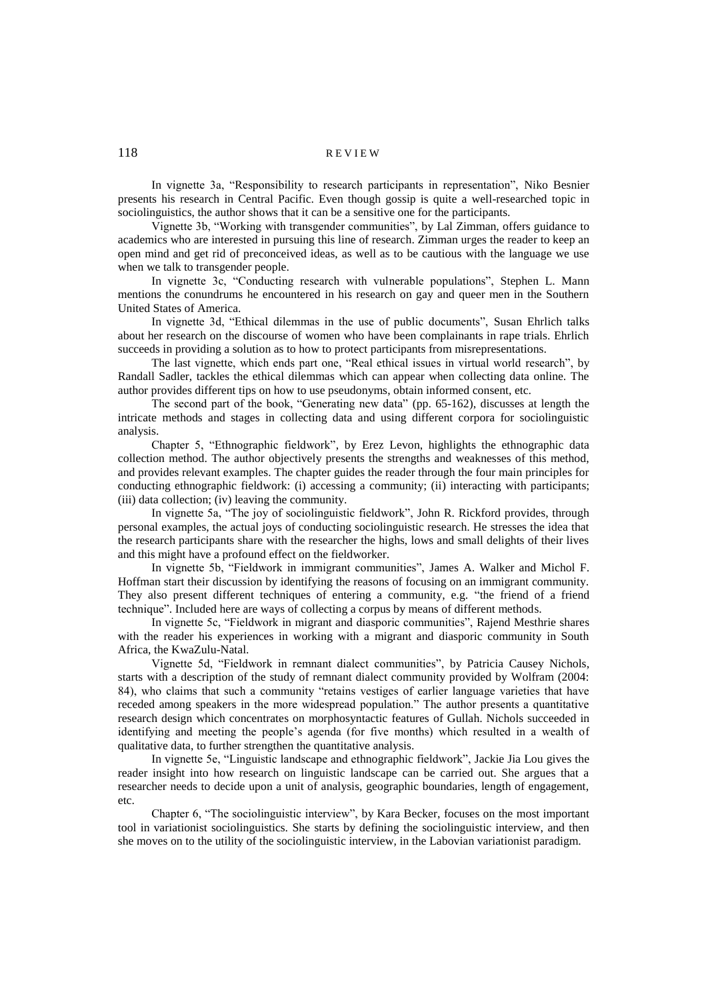# 118 REVIEW

In vignette 3a, "Responsibility to research participants in representation", Niko Besnier presents his research in Central Pacific. Even though gossip is quite a well-researched topic in sociolinguistics, the author shows that it can be a sensitive one for the participants.

Vignette 3b, "Working with transgender communities", by Lal Zimman, offers guidance to academics who are interested in pursuing this line of research. Zimman urges the reader to keep an open mind and get rid of preconceived ideas, as well as to be cautious with the language we use when we talk to transgender people.

In vignette 3c, "Conducting research with vulnerable populations", Stephen L. Mann mentions the conundrums he encountered in his research on gay and queer men in the Southern United States of America.

In vignette 3d, "Ethical dilemmas in the use of public documents", Susan Ehrlich talks about her research on the discourse of women who have been complainants in rape trials. Ehrlich succeeds in providing a solution as to how to protect participants from misrepresentations.

The last vignette, which ends part one, "Real ethical issues in virtual world research", by Randall Sadler, tackles the ethical dilemmas which can appear when collecting data online. The author provides different tips on how to use pseudonyms, obtain informed consent, etc.

The second part of the book, "Generating new data" (pp. 65-162), discusses at length the intricate methods and stages in collecting data and using different corpora for sociolinguistic analysis.

Chapter 5, "Ethnographic fieldwork", by Erez Levon, highlights the ethnographic data collection method. The author objectively presents the strengths and weaknesses of this method, and provides relevant examples. The chapter guides the reader through the four main principles for conducting ethnographic fieldwork: (i) accessing a community; (ii) interacting with participants; (iii) data collection; (iv) leaving the community.

In vignette 5a, "The joy of sociolinguistic fieldwork", John R. Rickford provides, through personal examples, the actual joys of conducting sociolinguistic research. He stresses the idea that the research participants share with the researcher the highs, lows and small delights of their lives and this might have a profound effect on the fieldworker.

In vignette 5b, "Fieldwork in immigrant communities", James A. Walker and Michol F. Hoffman start their discussion by identifying the reasons of focusing on an immigrant community. They also present different techniques of entering a community, e.g. "the friend of a friend technique". Included here are ways of collecting a corpus by means of different methods.

In vignette 5c, "Fieldwork in migrant and diasporic communities", Rajend Mesthrie shares with the reader his experiences in working with a migrant and diasporic community in South Africa, the KwaZulu-Natal.

Vignette 5d, "Fieldwork in remnant dialect communities", by Patricia Causey Nichols, starts with a description of the study of remnant dialect community provided by Wolfram (2004: 84), who claims that such a community "retains vestiges of earlier language varieties that have receded among speakers in the more widespread population." The author presents a quantitative research design which concentrates on morphosyntactic features of Gullah. Nichols succeeded in identifying and meeting the people's agenda (for five months) which resulted in a wealth of qualitative data, to further strengthen the quantitative analysis.

In vignette 5e, "Linguistic landscape and ethnographic fieldwork", Jackie Jia Lou gives the reader insight into how research on linguistic landscape can be carried out. She argues that a researcher needs to decide upon a unit of analysis, geographic boundaries, length of engagement, etc.

Chapter 6, "The sociolinguistic interview", by Kara Becker, focuses on the most important tool in variationist sociolinguistics. She starts by defining the sociolinguistic interview, and then she moves on to the utility of the sociolinguistic interview, in the Labovian variationist paradigm.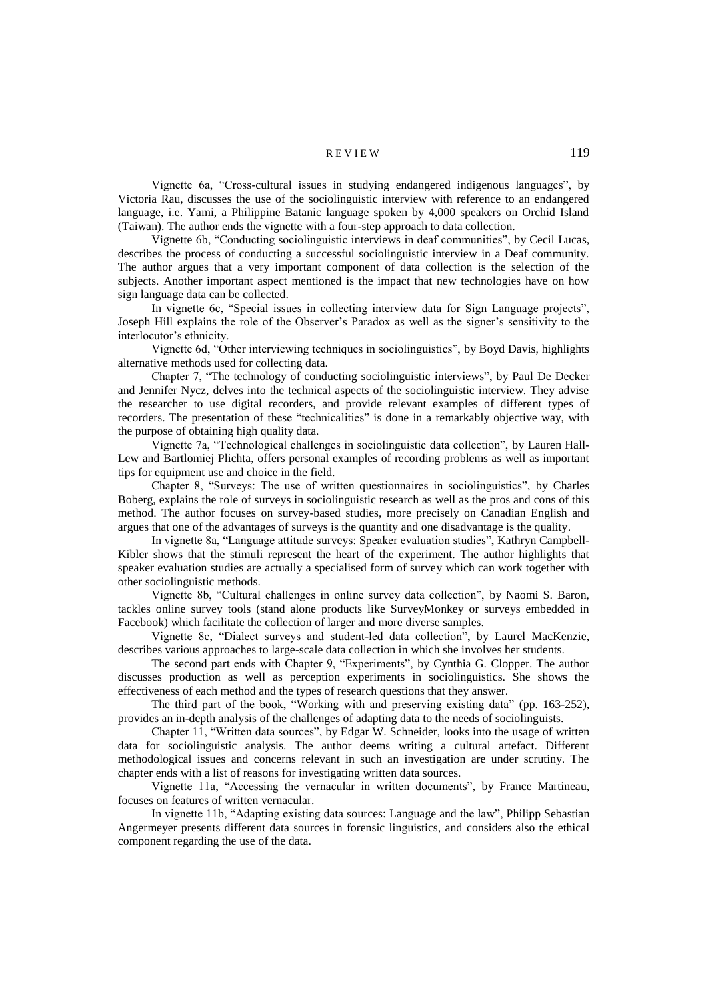#### R E V I E W 119

Vignette 6a, "Cross-cultural issues in studying endangered indigenous languages", by Victoria Rau, discusses the use of the sociolinguistic interview with reference to an endangered language, i.e. Yami, a Philippine Batanic language spoken by 4,000 speakers on Orchid Island (Taiwan). The author ends the vignette with a four-step approach to data collection.

Vignette 6b, "Conducting sociolinguistic interviews in deaf communities", by Cecil Lucas, describes the process of conducting a successful sociolinguistic interview in a Deaf community. The author argues that a very important component of data collection is the selection of the subjects. Another important aspect mentioned is the impact that new technologies have on how sign language data can be collected.

In vignette 6c, "Special issues in collecting interview data for Sign Language projects", Joseph Hill explains the role of the Observer's Paradox as well as the signer's sensitivity to the interlocutor's ethnicity.

Vignette 6d, "Other interviewing techniques in sociolinguistics", by Boyd Davis, highlights alternative methods used for collecting data.

Chapter 7, "The technology of conducting sociolinguistic interviews", by Paul De Decker and Jennifer Nycz, delves into the technical aspects of the sociolinguistic interview. They advise the researcher to use digital recorders, and provide relevant examples of different types of recorders. The presentation of these "technicalities" is done in a remarkably objective way, with the purpose of obtaining high quality data.

Vignette 7a, "Technological challenges in sociolinguistic data collection", by Lauren Hall-Lew and Bartlomiej Plichta, offers personal examples of recording problems as well as important tips for equipment use and choice in the field.

Chapter 8, "Surveys: The use of written questionnaires in sociolinguistics", by Charles Boberg, explains the role of surveys in sociolinguistic research as well as the pros and cons of this method. The author focuses on survey-based studies, more precisely on Canadian English and argues that one of the advantages of surveys is the quantity and one disadvantage is the quality.

In vignette 8a, "Language attitude surveys: Speaker evaluation studies", Kathryn Campbell-Kibler shows that the stimuli represent the heart of the experiment. The author highlights that speaker evaluation studies are actually a specialised form of survey which can work together with other sociolinguistic methods.

Vignette 8b, "Cultural challenges in online survey data collection", by Naomi S. Baron, tackles online survey tools (stand alone products like SurveyMonkey or surveys embedded in Facebook) which facilitate the collection of larger and more diverse samples.

Vignette 8c, "Dialect surveys and student-led data collection", by Laurel MacKenzie, describes various approaches to large-scale data collection in which she involves her students.

The second part ends with Chapter 9, "Experiments", by Cynthia G. Clopper. The author discusses production as well as perception experiments in sociolinguistics. She shows the effectiveness of each method and the types of research questions that they answer.

The third part of the book, "Working with and preserving existing data" (pp. 163-252), provides an in-depth analysis of the challenges of adapting data to the needs of sociolinguists.

Chapter 11, "Written data sources", by Edgar W. Schneider, looks into the usage of written data for sociolinguistic analysis. The author deems writing a cultural artefact. Different methodological issues and concerns relevant in such an investigation are under scrutiny. The chapter ends with a list of reasons for investigating written data sources.

Vignette 11a, "Accessing the vernacular in written documents", by France Martineau, focuses on features of written vernacular.

In vignette 11b, "Adapting existing data sources: Language and the law", Philipp Sebastian Angermeyer presents different data sources in forensic linguistics, and considers also the ethical component regarding the use of the data.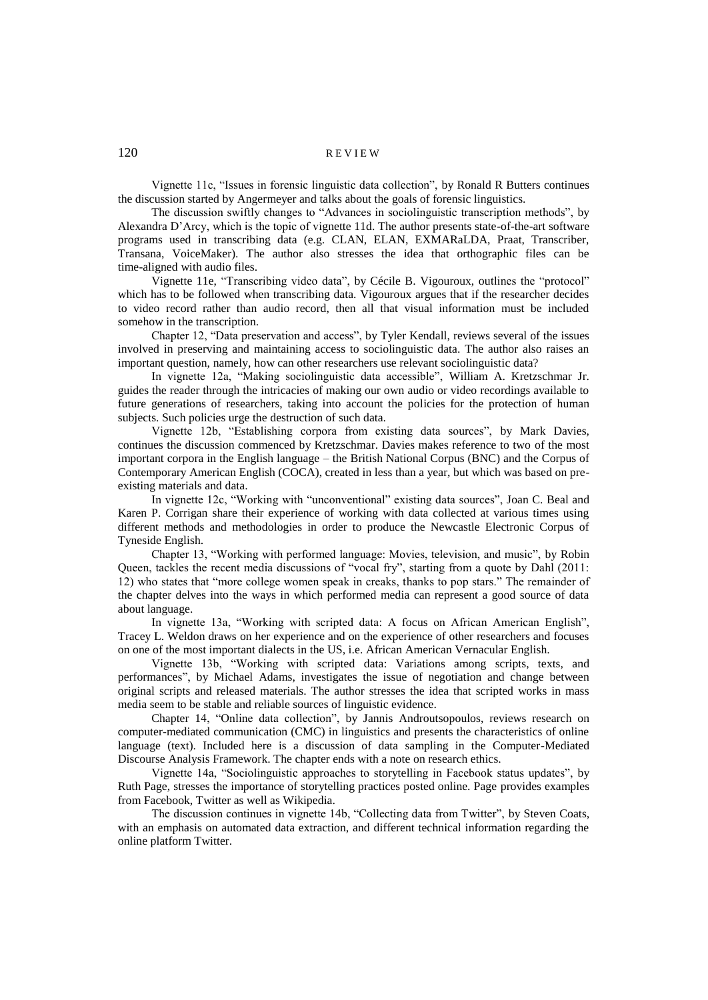# 120 REVIEW

Vignette 11c, "Issues in forensic linguistic data collection", by Ronald R Butters continues the discussion started by Angermeyer and talks about the goals of forensic linguistics.

The discussion swiftly changes to "Advances in sociolinguistic transcription methods", by Alexandra D'Arcy, which is the topic of vignette 11d. The author presents state-of-the-art software programs used in transcribing data (e.g. CLAN, ELAN, EXMARaLDA, Praat, Transcriber, Transana, VoiceMaker). The author also stresses the idea that orthographic files can be time-aligned with audio files.

Vignette 11e, "Transcribing video data", by Cécile B. Vigouroux, outlines the "protocol" which has to be followed when transcribing data. Vigouroux argues that if the researcher decides to video record rather than audio record, then all that visual information must be included somehow in the transcription.

Chapter 12, "Data preservation and access", by Tyler Kendall, reviews several of the issues involved in preserving and maintaining access to sociolinguistic data. The author also raises an important question, namely, how can other researchers use relevant sociolinguistic data?

In vignette 12a, "Making sociolinguistic data accessible", William A. Kretzschmar Jr. guides the reader through the intricacies of making our own audio or video recordings available to future generations of researchers, taking into account the policies for the protection of human subjects. Such policies urge the destruction of such data.

Vignette 12b, "Establishing corpora from existing data sources", by Mark Davies, continues the discussion commenced by Kretzschmar. Davies makes reference to two of the most important corpora in the English language – the British National Corpus (BNC) and the Corpus of Contemporary American English (COCA), created in less than a year, but which was based on preexisting materials and data.

In vignette 12c, "Working with "unconventional" existing data sources", Joan C. Beal and Karen P. Corrigan share their experience of working with data collected at various times using different methods and methodologies in order to produce the Newcastle Electronic Corpus of Tyneside English.

Chapter 13, "Working with performed language: Movies, television, and music", by Robin Queen, tackles the recent media discussions of "vocal fry", starting from a quote by Dahl (2011: 12) who states that "more college women speak in creaks, thanks to pop stars." The remainder of the chapter delves into the ways in which performed media can represent a good source of data about language.

In vignette 13a, "Working with scripted data: A focus on African American English", Tracey L. Weldon draws on her experience and on the experience of other researchers and focuses on one of the most important dialects in the US, i.e. African American Vernacular English.

Vignette 13b, "Working with scripted data: Variations among scripts, texts, and performances", by Michael Adams, investigates the issue of negotiation and change between original scripts and released materials. The author stresses the idea that scripted works in mass media seem to be stable and reliable sources of linguistic evidence.

Chapter 14, "Online data collection", by Jannis Androutsopoulos, reviews research on computer-mediated communication (CMC) in linguistics and presents the characteristics of online language (text). Included here is a discussion of data sampling in the Computer-Mediated Discourse Analysis Framework. The chapter ends with a note on research ethics.

Vignette 14a, "Sociolinguistic approaches to storytelling in Facebook status updates", by Ruth Page, stresses the importance of storytelling practices posted online. Page provides examples from Facebook, Twitter as well as Wikipedia.

The discussion continues in vignette 14b, "Collecting data from Twitter", by Steven Coats, with an emphasis on automated data extraction, and different technical information regarding the online platform Twitter.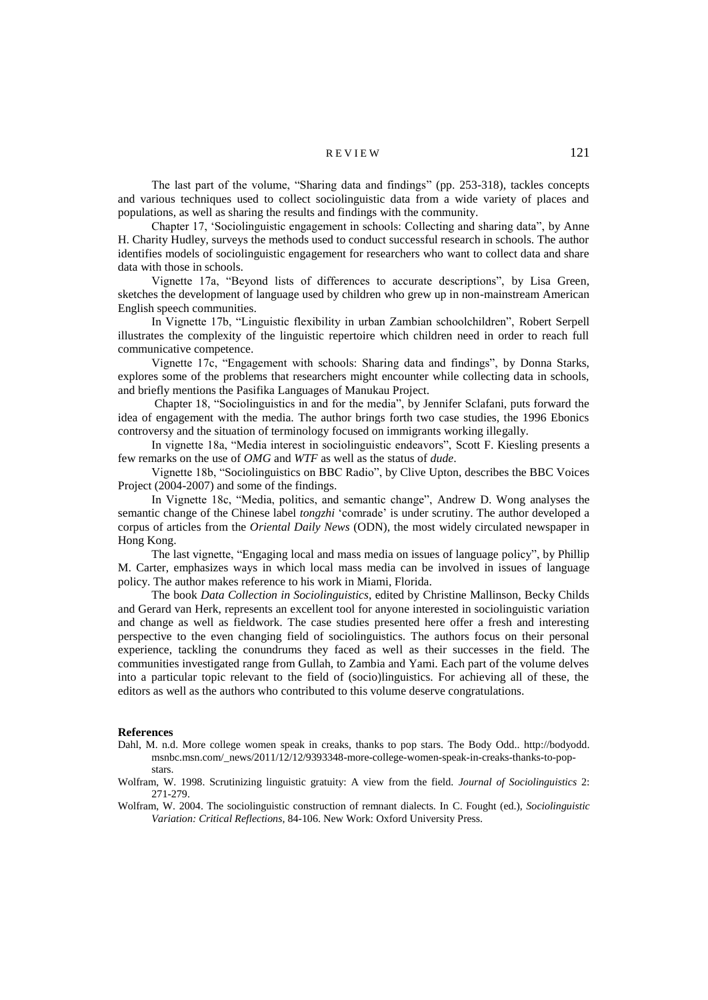## $REVIEW 121$

The last part of the volume, "Sharing data and findings" (pp. 253-318), tackles concepts and various techniques used to collect sociolinguistic data from a wide variety of places and populations, as well as sharing the results and findings with the community.

Chapter 17, 'Sociolinguistic engagement in schools: Collecting and sharing data", by Anne H. Charity Hudley, surveys the methods used to conduct successful research in schools. The author identifies models of sociolinguistic engagement for researchers who want to collect data and share data with those in schools.

Vignette 17a, "Beyond lists of differences to accurate descriptions", by Lisa Green, sketches the development of language used by children who grew up in non-mainstream American English speech communities.

In Vignette 17b, "Linguistic flexibility in urban Zambian schoolchildren", Robert Serpell illustrates the complexity of the linguistic repertoire which children need in order to reach full communicative competence.

Vignette 17c, "Engagement with schools: Sharing data and findings", by Donna Starks, explores some of the problems that researchers might encounter while collecting data in schools, and briefly mentions the Pasifika Languages of Manukau Project.

Chapter 18, "Sociolinguistics in and for the media", by Jennifer Sclafani, puts forward the idea of engagement with the media. The author brings forth two case studies, the 1996 Ebonics controversy and the situation of terminology focused on immigrants working illegally.

In vignette 18a, "Media interest in sociolinguistic endeavors", Scott F. Kiesling presents a few remarks on the use of *OMG* and *WTF* as well as the status of *dude*.

Vignette 18b, "Sociolinguistics on BBC Radio", by Clive Upton, describes the BBC Voices Project (2004-2007) and some of the findings.

In Vignette 18c, "Media, politics, and semantic change", Andrew D. Wong analyses the semantic change of the Chinese label *tongzhi* 'comrade' is under scrutiny. The author developed a corpus of articles from the *Oriental Daily News* (ODN), the most widely circulated newspaper in Hong Kong.

The last vignette, "Engaging local and mass media on issues of language policy", by Phillip M. Carter, emphasizes ways in which local mass media can be involved in issues of language policy. The author makes reference to his work in Miami, Florida.

The book *Data Collection in Sociolinguistics*, edited by Christine Mallinson, Becky Childs and Gerard van Herk, represents an excellent tool for anyone interested in sociolinguistic variation and change as well as fieldwork. The case studies presented here offer a fresh and interesting perspective to the even changing field of sociolinguistics. The authors focus on their personal experience, tackling the conundrums they faced as well as their successes in the field. The communities investigated range from Gullah, to Zambia and Yami. Each part of the volume delves into a particular topic relevant to the field of (socio)linguistics. For achieving all of these, the editors as well as the authors who contributed to this volume deserve congratulations.

#### **References**

- Dahl, M. n.d. More college women speak in creaks, thanks to pop stars. The Body Odd.. http://bodyodd. msnbc.msn.com/\_news/2011/12/12/9393348-more-college-women-speak-in-creaks-thanks-to-popstars.
- Wolfram, W. 1998. Scrutinizing linguistic gratuity: A view from the field. *Journal of Sociolinguistics* 2: 271-279.
- Wolfram, W. 2004. The sociolinguistic construction of remnant dialects. In C. Fought (ed.), *Sociolinguistic Variation: Critical Reflections*, 84-106. New Work: Oxford University Press.